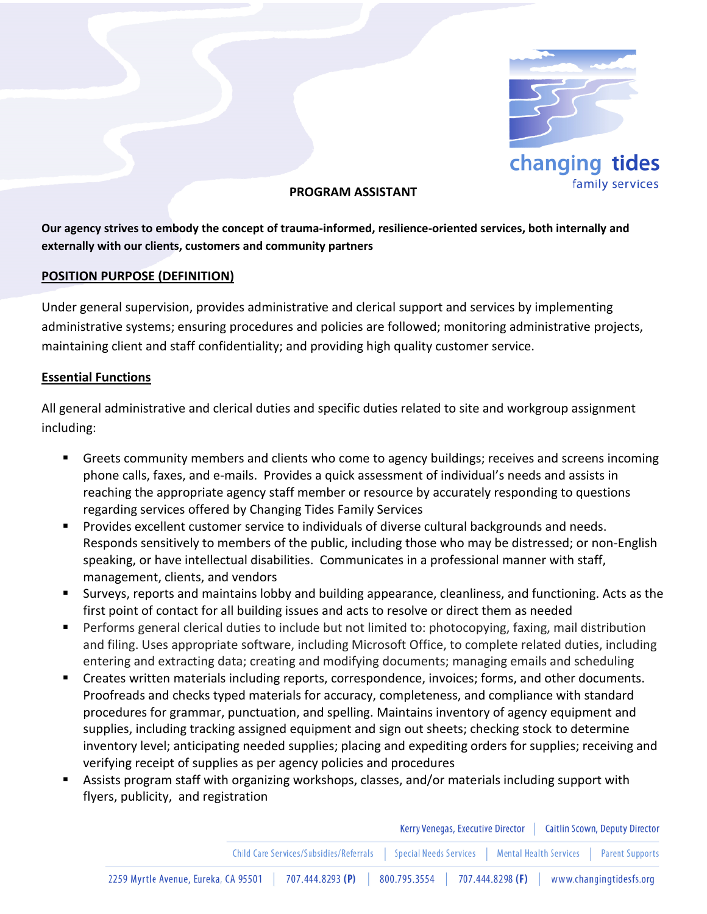

## **PROGRAM ASSISTANT**

**Our agency strives to embody the concept of trauma-informed, resilience-oriented services, both internally and externally with our clients, customers and community partners**

### **POSITION PURPOSE (DEFINITION)**

Under general supervision, provides administrative and clerical support and services by implementing administrative systems; ensuring procedures and policies are followed; monitoring administrative projects, maintaining client and staff confidentiality; and providing high quality customer service.

### **Essential Functions**

All general administrative and clerical duties and specific duties related to site and workgroup assignment including:

- Greets community members and clients who come to agency buildings; receives and screens incoming phone calls, faxes, and e-mails. Provides a quick assessment of individual's needs and assists in reaching the appropriate agency staff member or resource by accurately responding to questions regarding services offered by Changing Tides Family Services
- **Provides excellent customer service to individuals of diverse cultural backgrounds and needs.** Responds sensitively to members of the public, including those who may be distressed; or non-English speaking, or have intellectual disabilities. Communicates in a professional manner with staff, management, clients, and vendors
- Surveys, reports and maintains lobby and building appearance, cleanliness, and functioning. Acts as the first point of contact for all building issues and acts to resolve or direct them as needed
- Performs general clerical duties to include but not limited to: photocopying, faxing, mail distribution and filing. Uses appropriate software, including Microsoft Office, to complete related duties, including entering and extracting data; creating and modifying documents; managing emails and scheduling
- Creates written materials including reports, correspondence, invoices; forms, and other documents. Proofreads and checks typed materials for accuracy, completeness, and compliance with standard procedures for grammar, punctuation, and spelling. Maintains inventory of agency equipment and supplies, including tracking assigned equipment and sign out sheets; checking stock to determine inventory level; anticipating needed supplies; placing and expediting orders for supplies; receiving and verifying receipt of supplies as per agency policies and procedures
- Assists program staff with organizing workshops, classes, and/or materials including support with flyers, publicity, and registration

|                                      |                  | Kerry Venegas, Executive Director   Caitlin Scown, Deputy Director                                          |                         |
|--------------------------------------|------------------|-------------------------------------------------------------------------------------------------------------|-------------------------|
|                                      |                  | Child Care Services/Subsidies/Referrals   Special Needs Services   Mental Health Services   Parent Supports |                         |
| 2259 Myrtle Avenue, Eureka, CA 95501 | 707.444.8293 (P) | 707.444.8298 (F)<br>800.795.3554                                                                            | www.changingtidesfs.org |